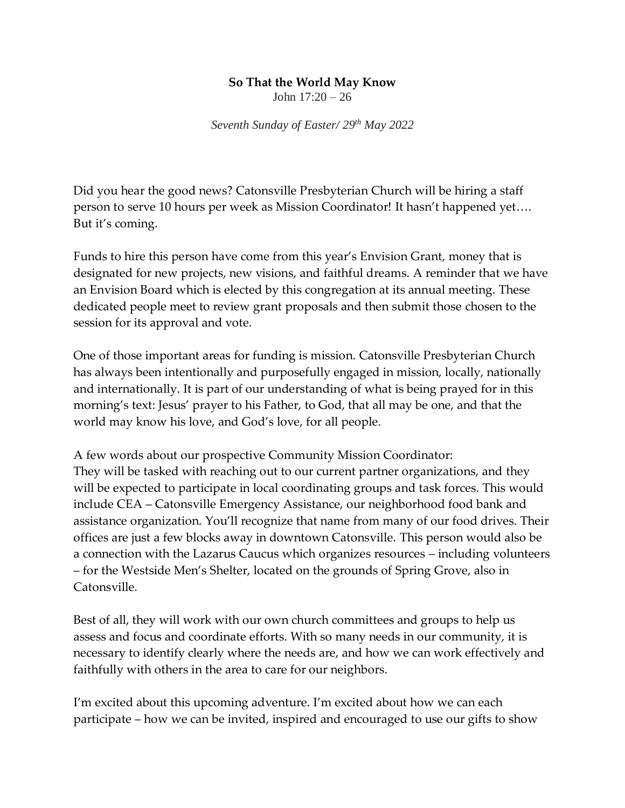## **So That the World May Know**

John 17:20 – 26

*Seventh Sunday of Easter/ 29 th May 2022*

Did you hear the good news? Catonsville Presbyterian Church will be hiring a staff person to serve 10 hours per week as Mission Coordinator! It hasn't happened yet…. But it's coming.

Funds to hire this person have come from this year's Envision Grant, money that is designated for new projects, new visions, and faithful dreams. A reminder that we have an Envision Board which is elected by this congregation at its annual meeting. These dedicated people meet to review grant proposals and then submit those chosen to the session for its approval and vote.

One of those important areas for funding is mission. Catonsville Presbyterian Church has always been intentionally and purposefully engaged in mission, locally, nationally and internationally. It is part of our understanding of what is being prayed for in this morning's text: Jesus' prayer to his Father, to God, that all may be one, and that the world may know his love, and God's love, for all people.

A few words about our prospective Community Mission Coordinator: They will be tasked with reaching out to our current partner organizations, and they will be expected to participate in local coordinating groups and task forces. This would include CEA – Catonsville Emergency Assistance, our neighborhood food bank and assistance organization. You'll recognize that name from many of our food drives. Their offices are just a few blocks away in downtown Catonsville. This person would also be a connection with the Lazarus Caucus which organizes resources – including volunteers – for the Westside Men's Shelter, located on the grounds of Spring Grove, also in Catonsville.

Best of all, they will work with our own church committees and groups to help us assess and focus and coordinate efforts. With so many needs in our community, it is necessary to identify clearly where the needs are, and how we can work effectively and faithfully with others in the area to care for our neighbors.

I'm excited about this upcoming adventure. I'm excited about how we can each participate – how we can be invited, inspired and encouraged to use our gifts to show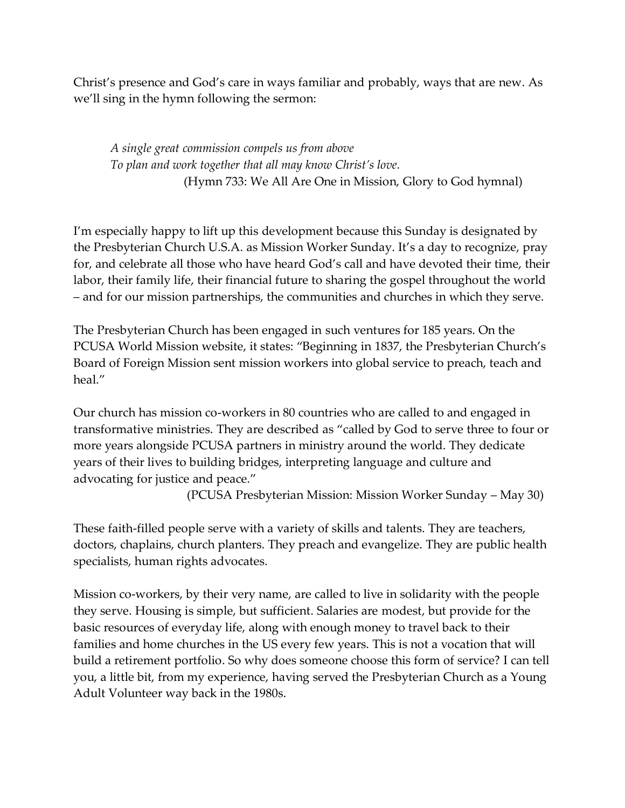Christ's presence and God's care in ways familiar and probably, ways that are new. As we'll sing in the hymn following the sermon:

*A single great commission compels us from above To plan and work together that all may know Christ's love.* (Hymn 733: We All Are One in Mission, Glory to God hymnal)

I'm especially happy to lift up this development because this Sunday is designated by the Presbyterian Church U.S.A. as Mission Worker Sunday. It's a day to recognize, pray for, and celebrate all those who have heard God's call and have devoted their time, their labor, their family life, their financial future to sharing the gospel throughout the world – and for our mission partnerships, the communities and churches in which they serve.

The Presbyterian Church has been engaged in such ventures for 185 years. On the PCUSA World Mission website, it states: "Beginning in 1837, the Presbyterian Church's Board of Foreign Mission sent mission workers into global service to preach, teach and heal."

Our church has mission co-workers in 80 countries who are called to and engaged in transformative ministries. They are described as "called by God to serve three to four or more years alongside PCUSA partners in ministry around the world. They dedicate years of their lives to building bridges, interpreting language and culture and advocating for justice and peace."

(PCUSA Presbyterian Mission: Mission Worker Sunday – May 30)

These faith-filled people serve with a variety of skills and talents. They are teachers, doctors, chaplains, church planters. They preach and evangelize. They are public health specialists, human rights advocates.

Mission co-workers, by their very name, are called to live in solidarity with the people they serve. Housing is simple, but sufficient. Salaries are modest, but provide for the basic resources of everyday life, along with enough money to travel back to their families and home churches in the US every few years. This is not a vocation that will build a retirement portfolio. So why does someone choose this form of service? I can tell you, a little bit, from my experience, having served the Presbyterian Church as a Young Adult Volunteer way back in the 1980s.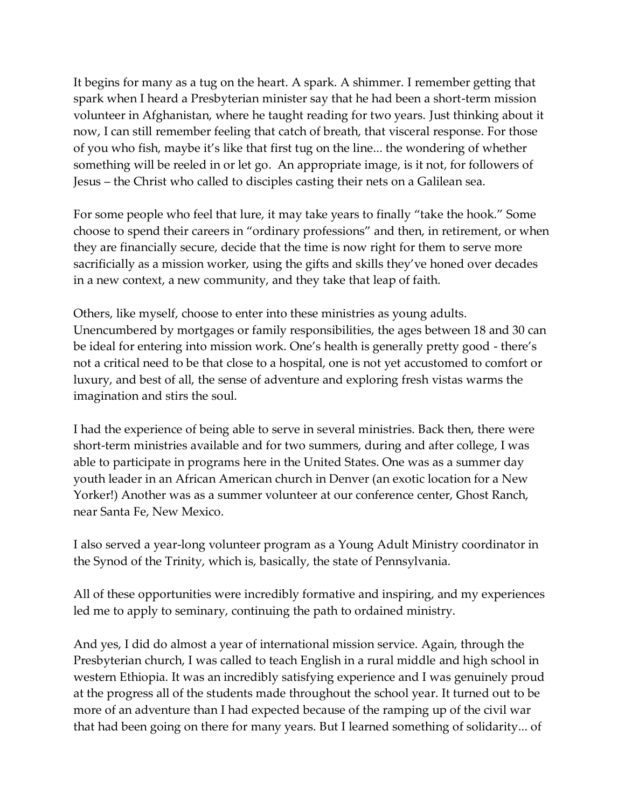It begins for many as a tug on the heart. A spark. A shimmer. I remember getting that spark when I heard a Presbyterian minister say that he had been a short-term mission volunteer in Afghanistan, where he taught reading for two years. Just thinking about it now, I can still remember feeling that catch of breath, that visceral response. For those of you who fish, maybe it's like that first tug on the line... the wondering of whether something will be reeled in or let go. An appropriate image, is it not, for followers of Jesus – the Christ who called to disciples casting their nets on a Galilean sea.

For some people who feel that lure, it may take years to finally "take the hook." Some choose to spend their careers in "ordinary professions" and then, in retirement, or when they are financially secure, decide that the time is now right for them to serve more sacrificially as a mission worker, using the gifts and skills they've honed over decades in a new context, a new community, and they take that leap of faith.

Others, like myself, choose to enter into these ministries as young adults. Unencumbered by mortgages or family responsibilities, the ages between 18 and 30 can be ideal for entering into mission work. One's health is generally pretty good - there's not a critical need to be that close to a hospital, one is not yet accustomed to comfort or luxury, and best of all, the sense of adventure and exploring fresh vistas warms the imagination and stirs the soul.

I had the experience of being able to serve in several ministries. Back then, there were short-term ministries available and for two summers, during and after college, I was able to participate in programs here in the United States. One was as a summer day youth leader in an African American church in Denver (an exotic location for a New Yorker!) Another was as a summer volunteer at our conference center, Ghost Ranch, near Santa Fe, New Mexico.

I also served a year-long volunteer program as a Young Adult Ministry coordinator in the Synod of the Trinity, which is, basically, the state of Pennsylvania.

All of these opportunities were incredibly formative and inspiring, and my experiences led me to apply to seminary, continuing the path to ordained ministry.

And yes, I did do almost a year of international mission service. Again, through the Presbyterian church, I was called to teach English in a rural middle and high school in western Ethiopia. It was an incredibly satisfying experience and I was genuinely proud at the progress all of the students made throughout the school year. It turned out to be more of an adventure than I had expected because of the ramping up of the civil war that had been going on there for many years. But I learned something of solidarity... of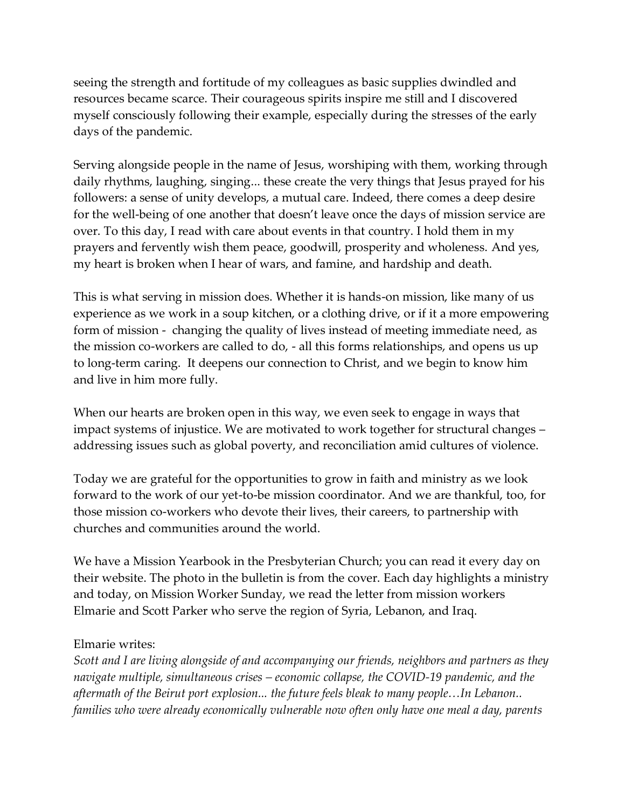seeing the strength and fortitude of my colleagues as basic supplies dwindled and resources became scarce. Their courageous spirits inspire me still and I discovered myself consciously following their example, especially during the stresses of the early days of the pandemic.

Serving alongside people in the name of Jesus, worshiping with them, working through daily rhythms, laughing, singing... these create the very things that Jesus prayed for his followers: a sense of unity develops, a mutual care. Indeed, there comes a deep desire for the well-being of one another that doesn't leave once the days of mission service are over. To this day, I read with care about events in that country. I hold them in my prayers and fervently wish them peace, goodwill, prosperity and wholeness. And yes, my heart is broken when I hear of wars, and famine, and hardship and death.

This is what serving in mission does. Whether it is hands-on mission, like many of us experience as we work in a soup kitchen, or a clothing drive, or if it a more empowering form of mission - changing the quality of lives instead of meeting immediate need, as the mission co-workers are called to do, - all this forms relationships, and opens us up to long-term caring. It deepens our connection to Christ, and we begin to know him and live in him more fully.

When our hearts are broken open in this way, we even seek to engage in ways that impact systems of injustice. We are motivated to work together for structural changes – addressing issues such as global poverty, and reconciliation amid cultures of violence.

Today we are grateful for the opportunities to grow in faith and ministry as we look forward to the work of our yet-to-be mission coordinator. And we are thankful, too, for those mission co-workers who devote their lives, their careers, to partnership with churches and communities around the world.

We have a Mission Yearbook in the Presbyterian Church; you can read it every day on their website. The photo in the bulletin is from the cover. Each day highlights a ministry and today, on Mission Worker Sunday, we read the letter from mission workers Elmarie and Scott Parker who serve the region of Syria, Lebanon, and Iraq.

## Elmarie writes:

*Scott and I are living alongside of and accompanying our friends, neighbors and partners as they navigate multiple, simultaneous crises – economic collapse, the COVID-19 pandemic, and the aftermath of the Beirut port explosion... the future feels bleak to many people…In Lebanon.. families who were already economically vulnerable now often only have one meal a day, parents*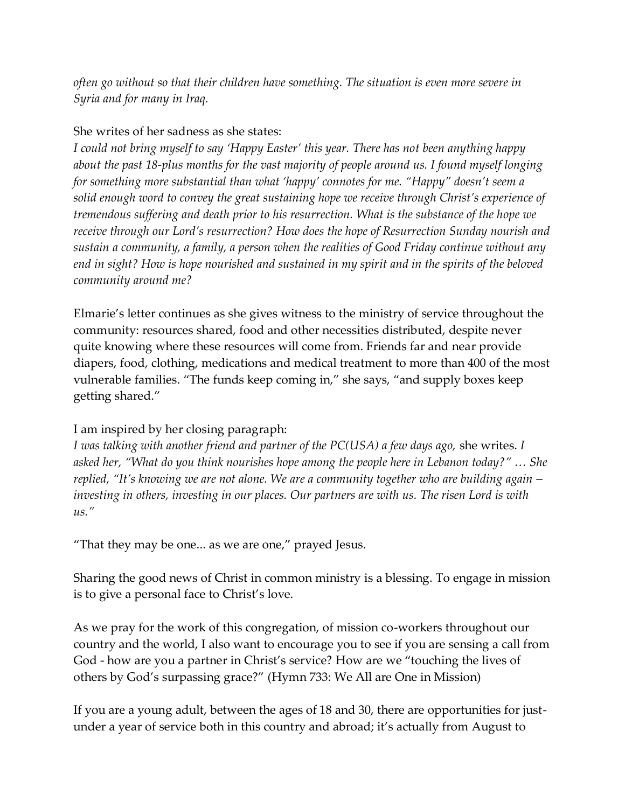*often go without so that their children have something. The situation is even more severe in Syria and for many in Iraq.*

## She writes of her sadness as she states:

*I could not bring myself to say 'Happy Easter' this year. There has not been anything happy about the past 18-plus months for the vast majority of people around us. I found myself longing for something more substantial than what 'happy' connotes for me. "Happy" doesn't seem a solid enough word to convey the great sustaining hope we receive through Christ's experience of tremendous suffering and death prior to his resurrection. What is the substance of the hope we receive through our Lord's resurrection? How does the hope of Resurrection Sunday nourish and sustain a community, a family, a person when the realities of Good Friday continue without any end in sight? How is hope nourished and sustained in my spirit and in the spirits of the beloved community around me?*

Elmarie's letter continues as she gives witness to the ministry of service throughout the community: resources shared, food and other necessities distributed, despite never quite knowing where these resources will come from. Friends far and near provide diapers, food, clothing, medications and medical treatment to more than 400 of the most vulnerable families. "The funds keep coming in," she says, "and supply boxes keep getting shared."

I am inspired by her closing paragraph:

*I was talking with another friend and partner of the PC(USA) a few days ago,* she writes. *I asked her, "What do you think nourishes hope among the people here in Lebanon today?" … She replied, "It's knowing we are not alone. We are a community together who are building again – investing in others, investing in our places. Our partners are with us. The risen Lord is with us."*

"That they may be one... as we are one," prayed Jesus.

Sharing the good news of Christ in common ministry is a blessing. To engage in mission is to give a personal face to Christ's love.

As we pray for the work of this congregation, of mission co-workers throughout our country and the world, I also want to encourage you to see if you are sensing a call from God - how are you a partner in Christ's service? How are we "touching the lives of others by God's surpassing grace?" (Hymn 733: We All are One in Mission)

If you are a young adult, between the ages of 18 and 30, there are opportunities for justunder a year of service both in this country and abroad; it's actually from August to